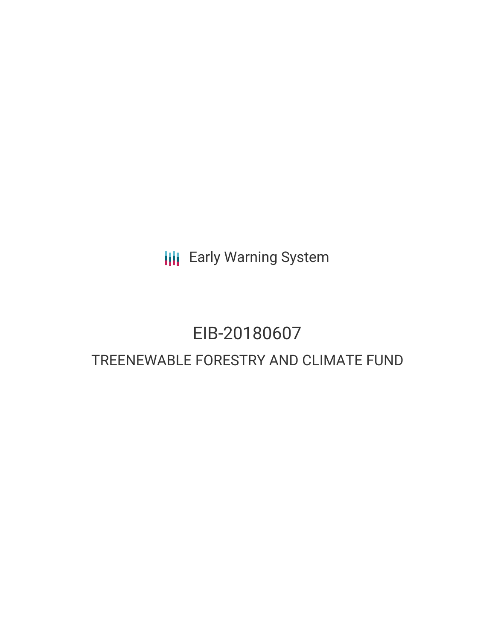**III** Early Warning System

# EIB-20180607 TREENEWABLE FORESTRY AND CLIMATE FUND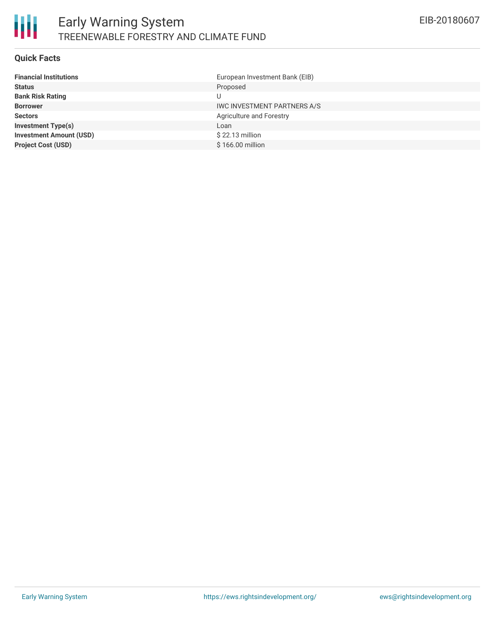#### **Quick Facts**

| <b>Financial Institutions</b>  | European Investment Bank (EIB)     |
|--------------------------------|------------------------------------|
| <b>Status</b>                  | Proposed                           |
| <b>Bank Risk Rating</b>        |                                    |
| <b>Borrower</b>                | <b>IWC INVESTMENT PARTNERS A/S</b> |
| <b>Sectors</b>                 | Agriculture and Forestry           |
| <b>Investment Type(s)</b>      | Loan                               |
| <b>Investment Amount (USD)</b> | $$22.13$ million                   |
| <b>Project Cost (USD)</b>      | \$166,00 million                   |
|                                |                                    |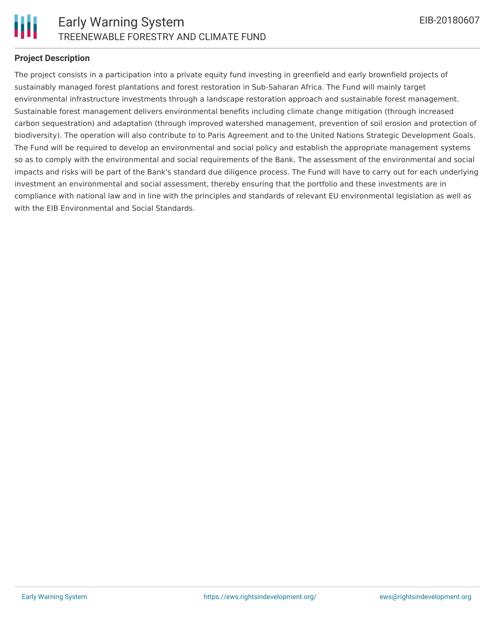

## **Project Description**

The project consists in a participation into a private equity fund investing in greenfield and early brownfield projects of sustainably managed forest plantations and forest restoration in Sub-Saharan Africa. The Fund will mainly target environmental infrastructure investments through a landscape restoration approach and sustainable forest management. Sustainable forest management delivers environmental benefits including climate change mitigation (through increased carbon sequestration) and adaptation (through improved watershed management, prevention of soil erosion and protection of biodiversity). The operation will also contribute to to Paris Agreement and to the United Nations Strategic Development Goals. The Fund will be required to develop an environmental and social policy and establish the appropriate management systems so as to comply with the environmental and social requirements of the Bank. The assessment of the environmental and social impacts and risks will be part of the Bank's standard due diligence process. The Fund will have to carry out for each underlying investment an environmental and social assessment, thereby ensuring that the portfolio and these investments are in compliance with national law and in line with the principles and standards of relevant EU environmental legislation as well as with the EIB Environmental and Social Standards.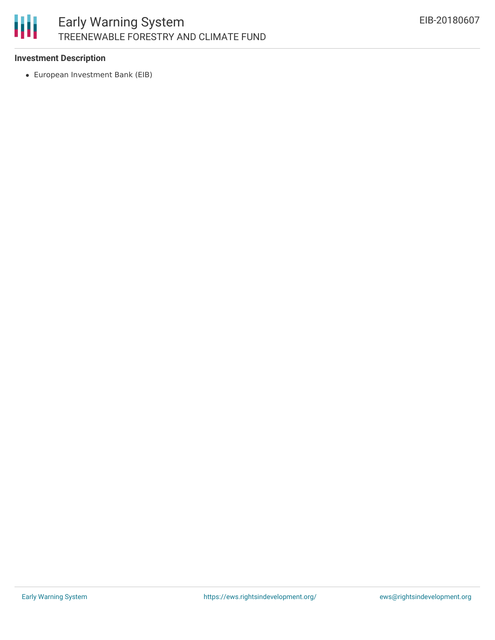

## **Investment Description**

European Investment Bank (EIB)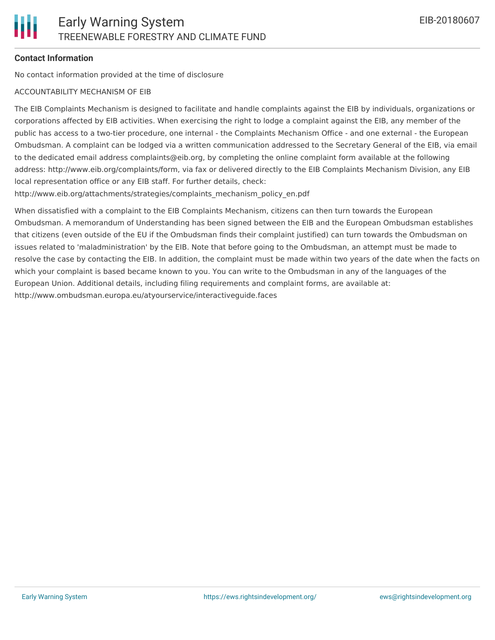## **Contact Information**

No contact information provided at the time of disclosure

#### ACCOUNTABILITY MECHANISM OF EIB

The EIB Complaints Mechanism is designed to facilitate and handle complaints against the EIB by individuals, organizations or corporations affected by EIB activities. When exercising the right to lodge a complaint against the EIB, any member of the public has access to a two-tier procedure, one internal - the Complaints Mechanism Office - and one external - the European Ombudsman. A complaint can be lodged via a written communication addressed to the Secretary General of the EIB, via email to the dedicated email address complaints@eib.org, by completing the online complaint form available at the following address: http://www.eib.org/complaints/form, via fax or delivered directly to the EIB Complaints Mechanism Division, any EIB local representation office or any EIB staff. For further details, check:

http://www.eib.org/attachments/strategies/complaints\_mechanism\_policy\_en.pdf

When dissatisfied with a complaint to the EIB Complaints Mechanism, citizens can then turn towards the European Ombudsman. A memorandum of Understanding has been signed between the EIB and the European Ombudsman establishes that citizens (even outside of the EU if the Ombudsman finds their complaint justified) can turn towards the Ombudsman on issues related to 'maladministration' by the EIB. Note that before going to the Ombudsman, an attempt must be made to resolve the case by contacting the EIB. In addition, the complaint must be made within two years of the date when the facts on which your complaint is based became known to you. You can write to the Ombudsman in any of the languages of the European Union. Additional details, including filing requirements and complaint forms, are available at: http://www.ombudsman.europa.eu/atyourservice/interactiveguide.faces